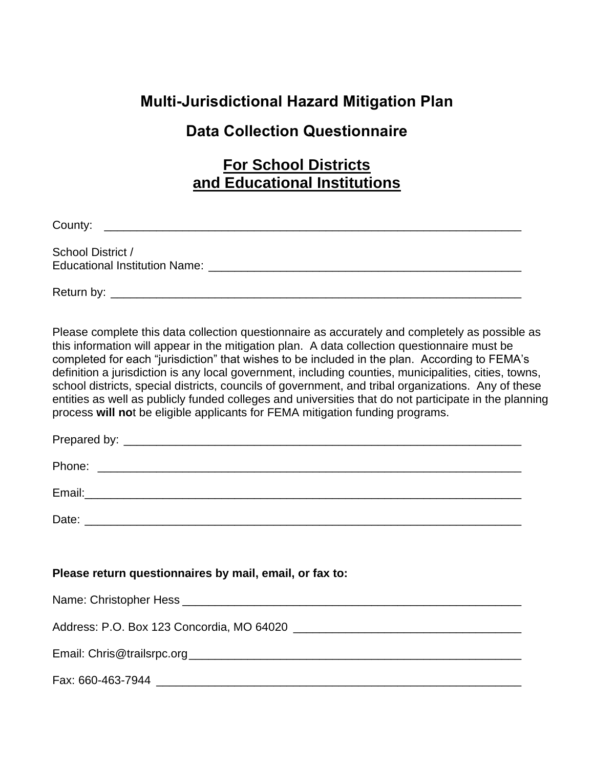## **Multi-Jurisdictional Hazard Mitigation Plan**

### **Data Collection Questionnaire**

### **For School Districts and Educational Institutions**

County: \_\_\_\_\_\_\_\_\_\_\_\_\_\_\_\_\_\_\_\_\_\_\_\_\_\_\_\_\_\_\_\_\_\_\_\_\_\_\_\_\_\_\_\_\_\_\_\_\_\_\_\_\_\_\_\_\_\_\_\_\_\_\_\_

School District / Educational Institution Name: \_\_\_\_\_\_\_\_\_\_\_\_\_\_\_\_\_\_\_\_\_\_\_\_\_\_\_\_\_\_\_\_\_\_\_\_\_\_\_\_\_\_\_\_\_\_\_\_

Return by: <u>with the set of the set of the set of the set of the set of the set of the set of the set of the set of the set of the set of the set of the set of the set of the set of the set of the set of the set of the set</u>

Please complete this data collection questionnaire as accurately and completely as possible as this information will appear in the mitigation plan. A data collection questionnaire must be completed for each "jurisdiction" that wishes to be included in the plan. According to FEMA's definition a jurisdiction is any local government, including counties, municipalities, cities, towns, school districts, special districts, councils of government, and tribal organizations. Any of these entities as well as publicly funded colleges and universities that do not participate in the planning process **will no**t be eligible applicants for FEMA mitigation funding programs.

| -<br>۰ پ<br>. .<br>.<br>__ |  |  |
|----------------------------|--|--|
|                            |  |  |

| Phone <sup>.</sup><br>,,,,, | $-$ |  |  |  |  |
|-----------------------------|-----|--|--|--|--|
|                             |     |  |  |  |  |

Email:\_\_\_\_\_\_\_\_\_\_\_\_\_\_\_\_\_\_\_\_\_\_\_\_\_\_\_\_\_\_\_\_\_\_\_\_\_\_\_\_\_\_\_\_\_\_\_\_\_\_\_\_\_\_\_\_\_\_\_\_\_\_\_\_\_\_\_

Date: \_\_\_\_\_\_\_\_\_\_\_\_\_\_\_\_\_\_\_\_\_\_\_\_\_\_\_\_\_\_\_\_\_\_\_\_\_\_\_\_\_\_\_\_\_\_\_\_\_\_\_\_\_\_\_\_\_\_\_\_\_\_\_\_\_\_\_

|  | Please return questionnaires by mail, email, or fax to: |  |  |  |  |  |  |
|--|---------------------------------------------------------|--|--|--|--|--|--|
|--|---------------------------------------------------------|--|--|--|--|--|--|

Name: Christopher Hess \_\_\_\_\_\_\_\_\_\_\_\_\_\_\_\_\_\_\_\_\_\_\_\_\_\_\_\_\_\_\_\_\_\_\_\_\_\_\_\_\_\_\_\_\_\_\_\_\_\_\_\_ Address: P.O. Box 123 Concordia, MO 64020 \_\_\_\_\_\_\_\_\_\_\_\_\_\_\_\_\_\_\_\_\_\_\_\_\_\_\_\_\_\_\_\_\_\_\_

Email: Chris@trailsrpc.org\_\_\_\_\_\_\_\_\_\_\_\_\_\_\_\_\_\_\_\_\_\_\_\_\_\_\_\_\_\_\_\_\_\_\_\_\_\_\_\_\_\_\_\_\_\_\_\_\_\_\_

Fax: 660-463-7944 **Example 2018**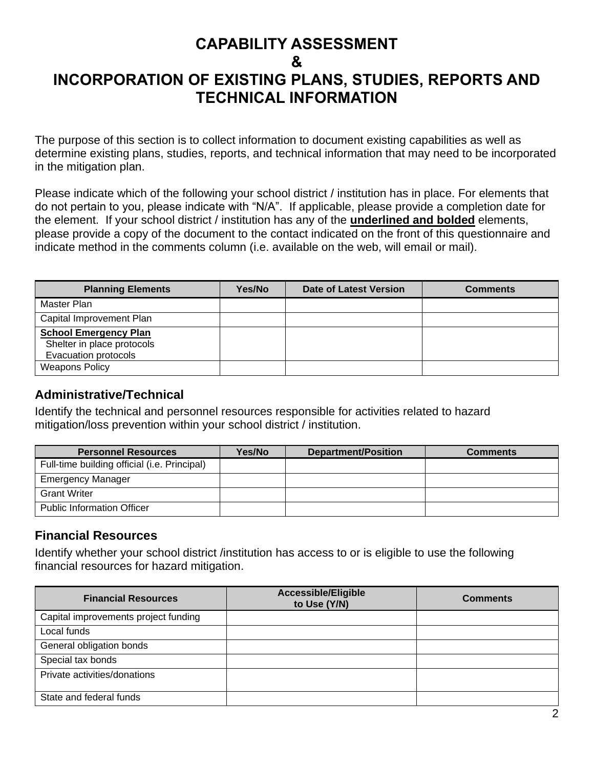### **CAPABILITY ASSESSMENT & INCORPORATION OF EXISTING PLANS, STUDIES, REPORTS AND TECHNICAL INFORMATION**

The purpose of this section is to collect information to document existing capabilities as well as determine existing plans, studies, reports, and technical information that may need to be incorporated in the mitigation plan.

Please indicate which of the following your school district / institution has in place. For elements that do not pertain to you, please indicate with "N/A". If applicable, please provide a completion date for the element. If your school district / institution has any of the **underlined and bolded** elements, please provide a copy of the document to the contact indicated on the front of this questionnaire and indicate method in the comments column (i.e. available on the web, will email or mail).

| <b>Planning Elements</b>                                                           | Yes/No | <b>Date of Latest Version</b> | <b>Comments</b> |
|------------------------------------------------------------------------------------|--------|-------------------------------|-----------------|
| Master Plan                                                                        |        |                               |                 |
| Capital Improvement Plan                                                           |        |                               |                 |
| <b>School Emergency Plan</b><br>Shelter in place protocols<br>Evacuation protocols |        |                               |                 |
| <b>Weapons Policy</b>                                                              |        |                               |                 |

### **Administrative/Technical**

Identify the technical and personnel resources responsible for activities related to hazard mitigation/loss prevention within your school district / institution.

| <b>Personnel Resources</b>                   | Yes/No | <b>Department/Position</b> | <b>Comments</b> |
|----------------------------------------------|--------|----------------------------|-----------------|
| Full-time building official (i.e. Principal) |        |                            |                 |
| <b>Emergency Manager</b>                     |        |                            |                 |
| <b>Grant Writer</b>                          |        |                            |                 |
| <b>Public Information Officer</b>            |        |                            |                 |

### **Financial Resources**

Identify whether your school district /institution has access to or is eligible to use the following financial resources for hazard mitigation.

| <b>Financial Resources</b>           | <b>Accessible/Eligible</b><br>to Use (Y/N) | <b>Comments</b> |
|--------------------------------------|--------------------------------------------|-----------------|
| Capital improvements project funding |                                            |                 |
| Local funds                          |                                            |                 |
| General obligation bonds             |                                            |                 |
| Special tax bonds                    |                                            |                 |
| Private activities/donations         |                                            |                 |
| State and federal funds              |                                            |                 |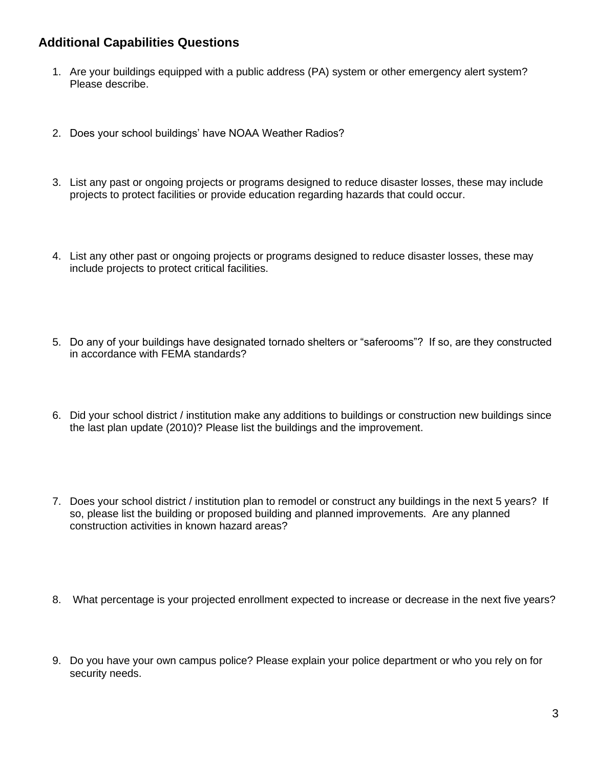#### **Additional Capabilities Questions**

- 1. Are your buildings equipped with a public address (PA) system or other emergency alert system? Please describe.
- 2. Does your school buildings' have NOAA Weather Radios?
- 3. List any past or ongoing projects or programs designed to reduce disaster losses, these may include projects to protect facilities or provide education regarding hazards that could occur.
- 4. List any other past or ongoing projects or programs designed to reduce disaster losses, these may include projects to protect critical facilities.
- 5. Do any of your buildings have designated tornado shelters or "saferooms"? If so, are they constructed in accordance with FEMA standards?
- 6. Did your school district / institution make any additions to buildings or construction new buildings since the last plan update (2010)? Please list the buildings and the improvement.
- 7. Does your school district / institution plan to remodel or construct any buildings in the next 5 years? If so, please list the building or proposed building and planned improvements. Are any planned construction activities in known hazard areas?
- 8. What percentage is your projected enrollment expected to increase or decrease in the next five years?
- 9. Do you have your own campus police? Please explain your police department or who you rely on for security needs.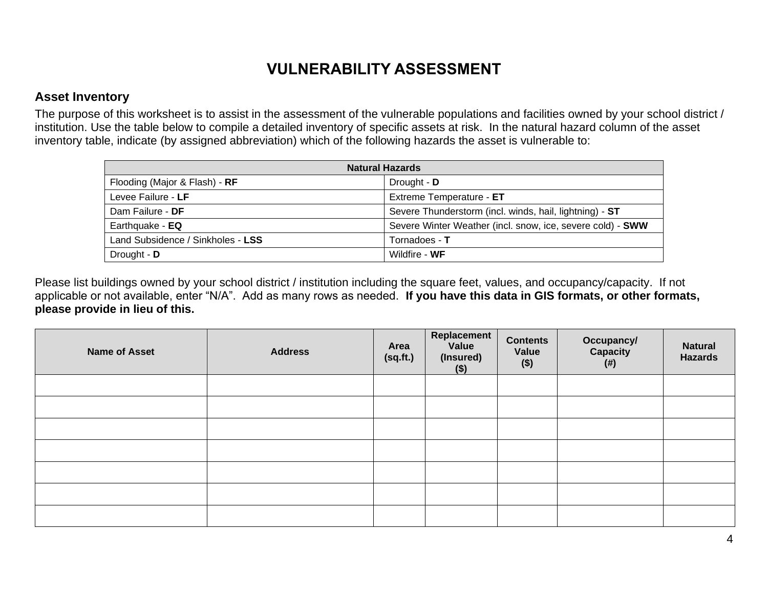# **VULNERABILITY ASSESSMENT**

#### **Asset Inventory**

The purpose of this worksheet is to assist in the assessment of the vulnerable populations and facilities owned by your school district / institution. Use the table below to compile a detailed inventory of specific assets at risk. In the natural hazard column of the asset inventory table, indicate (by assigned abbreviation) which of the following hazards the asset is vulnerable to:

| <b>Natural Hazards</b>            |                                                            |  |
|-----------------------------------|------------------------------------------------------------|--|
| Flooding (Major & Flash) - RF     | Drought - D                                                |  |
| Levee Failure - LF                | Extreme Temperature - ET                                   |  |
| Dam Failure - DF                  | Severe Thunderstorm (incl. winds, hail, lightning) - ST    |  |
| Earthquake - EQ                   | Severe Winter Weather (incl. snow, ice, severe cold) - SWW |  |
| Land Subsidence / Sinkholes - LSS | Tornadoes - T                                              |  |
| Drought - D                       | Wildfire - WF                                              |  |

Please list buildings owned by your school district / institution including the square feet, values, and occupancy/capacity. If not applicable or not available, enter "N/A". Add as many rows as needed. **If you have this data in GIS formats, or other formats, please provide in lieu of this.**

| <b>Name of Asset</b> | <b>Address</b> | Area<br>(sq.fit.) | <b>Replacement</b><br>Value<br>(Insured)<br>$($)$ | <b>Contents</b><br>Value<br>$($ \$) | <b>Occupancy/</b><br>Capacity<br>(# ) | <b>Natural</b><br><b>Hazards</b> |
|----------------------|----------------|-------------------|---------------------------------------------------|-------------------------------------|---------------------------------------|----------------------------------|
|                      |                |                   |                                                   |                                     |                                       |                                  |
|                      |                |                   |                                                   |                                     |                                       |                                  |
|                      |                |                   |                                                   |                                     |                                       |                                  |
|                      |                |                   |                                                   |                                     |                                       |                                  |
|                      |                |                   |                                                   |                                     |                                       |                                  |
|                      |                |                   |                                                   |                                     |                                       |                                  |
|                      |                |                   |                                                   |                                     |                                       |                                  |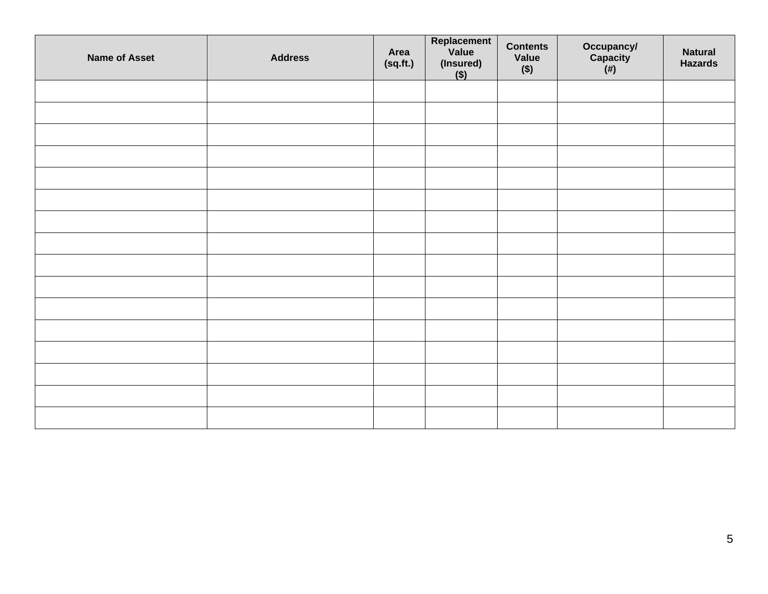| <b>Name of Asset</b> | <b>Address</b> | Area<br>(sq.fit.) | Replacement<br>Value<br>$(insured)$<br>$($)$ | <b>Contents</b><br>Value<br>$($ \$) | Occupancy/<br>Capacity<br>(#) | <b>Natural</b><br><b>Hazards</b> |
|----------------------|----------------|-------------------|----------------------------------------------|-------------------------------------|-------------------------------|----------------------------------|
|                      |                |                   |                                              |                                     |                               |                                  |
|                      |                |                   |                                              |                                     |                               |                                  |
|                      |                |                   |                                              |                                     |                               |                                  |
|                      |                |                   |                                              |                                     |                               |                                  |
|                      |                |                   |                                              |                                     |                               |                                  |
|                      |                |                   |                                              |                                     |                               |                                  |
|                      |                |                   |                                              |                                     |                               |                                  |
|                      |                |                   |                                              |                                     |                               |                                  |
|                      |                |                   |                                              |                                     |                               |                                  |
|                      |                |                   |                                              |                                     |                               |                                  |
|                      |                |                   |                                              |                                     |                               |                                  |
|                      |                |                   |                                              |                                     |                               |                                  |
|                      |                |                   |                                              |                                     |                               |                                  |
|                      |                |                   |                                              |                                     |                               |                                  |
|                      |                |                   |                                              |                                     |                               |                                  |
|                      |                |                   |                                              |                                     |                               |                                  |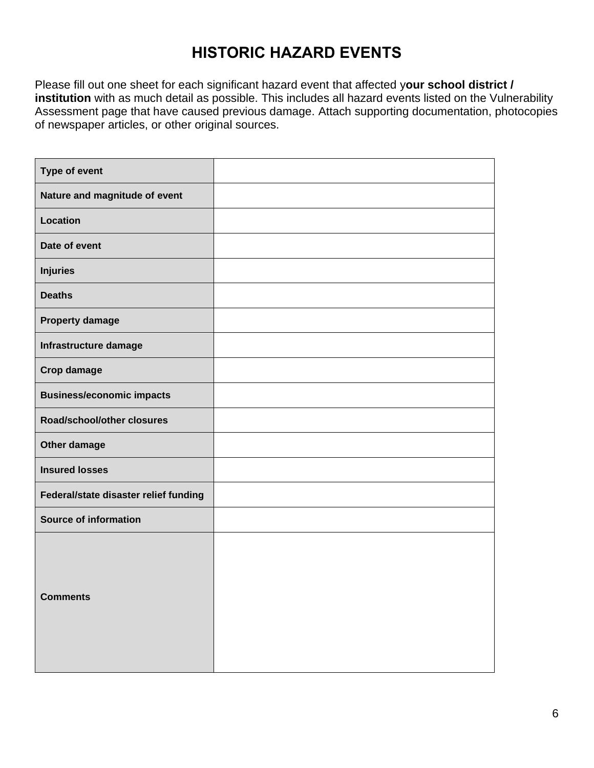## **HISTORIC HAZARD EVENTS**

Please fill out one sheet for each significant hazard event that affected y**our school district / institution** with as much detail as possible. This includes all hazard events listed on the Vulnerability Assessment page that have caused previous damage. Attach supporting documentation, photocopies of newspaper articles, or other original sources.

| Type of event                         |  |
|---------------------------------------|--|
| Nature and magnitude of event         |  |
| Location                              |  |
| Date of event                         |  |
| <b>Injuries</b>                       |  |
| <b>Deaths</b>                         |  |
| <b>Property damage</b>                |  |
| Infrastructure damage                 |  |
| <b>Crop damage</b>                    |  |
| <b>Business/economic impacts</b>      |  |
| Road/school/other closures            |  |
| Other damage                          |  |
| <b>Insured losses</b>                 |  |
| Federal/state disaster relief funding |  |
| <b>Source of information</b>          |  |
| <b>Comments</b>                       |  |